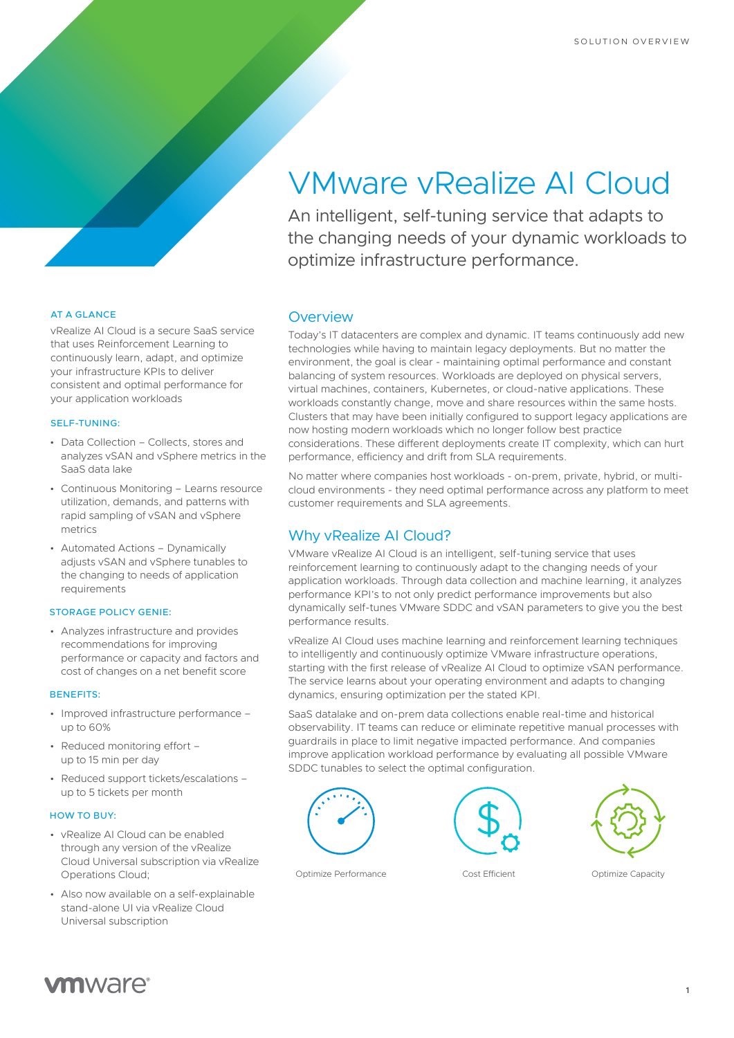# VMware vRealize AI Cloud

An intelligent, self-tuning service that adapts to the changing needs of your dynamic workloads to optimize infrastructure performance.

## AT A GLANCE

vRealize AI Cloud is a secure SaaS service that uses Reinforcement Learning to continuously learn, adapt, and optimize your infrastructure KPIs to deliver consistent and optimal performance for your application workloads

#### SELF-TUNING:

- Data Collection Collects, stores and analyzes vSAN and vSphere metrics in the SaaS data lake
- Continuous Monitoring Learns resource utilization, demands, and patterns with rapid sampling of vSAN and vSphere metrics
- Automated Actions Dynamically adjusts vSAN and vSphere tunables to the changing to needs of application requirements

## STORAGE POLICY GENIE:

• Analyzes infrastructure and provides recommendations for improving performance or capacity and factors and cost of changes on a net benefit score

#### BENEFITS:

- Improved infrastructure performance up to 60%
- Reduced monitoring effort up to 15 min per day
- Reduced support tickets/escalations up to 5 tickets per month

## HOW TO BUY:

- vRealize AI Cloud can be enabled through any version of the vRealize Cloud Universal subscription via vRealize Operations Cloud;
- Also now available on a self-explainable stand-alone UI via vRealize Cloud Universal subscription

## **Overview**

Today's IT datacenters are complex and dynamic. IT teams continuously add new technologies while having to maintain legacy deployments. But no matter the environment, the goal is clear - maintaining optimal performance and constant balancing of system resources. Workloads are deployed on physical servers, virtual machines, containers, Kubernetes, or cloud-native applications. These workloads constantly change, move and share resources within the same hosts. Clusters that may have been initially configured to support legacy applications are now hosting modern workloads which no longer follow best practice considerations. These different deployments create IT complexity, which can hurt performance, efficiency and drift from SLA requirements.

No matter where companies host workloads - on-prem, private, hybrid, or multicloud environments - they need optimal performance across any platform to meet customer requirements and SLA agreements.

## Why vRealize AI Cloud?

VMware vRealize AI Cloud is an intelligent, self-tuning service that uses reinforcement learning to continuously adapt to the changing needs of your application workloads. Through data collection and machine learning, it analyzes performance KPI's to not only predict performance improvements but also dynamically self-tunes VMware SDDC and vSAN parameters to give you the best performance results.

vRealize AI Cloud uses machine learning and reinforcement learning techniques to intelligently and continuously optimize VMware infrastructure operations, starting with the first release of vRealize AI Cloud to optimize vSAN performance. The service learns about your operating environment and adapts to changing dynamics, ensuring optimization per the stated KPI.

SaaS datalake and on-prem data collections enable real-time and historical observability. IT teams can reduce or eliminate repetitive manual processes with guardrails in place to limit negative impacted performance. And companies improve application workload performance by evaluating all possible VMware SDDC tunables to select the optimal configuration.



Optimize Performance Cost Efficient Optimize Capacity